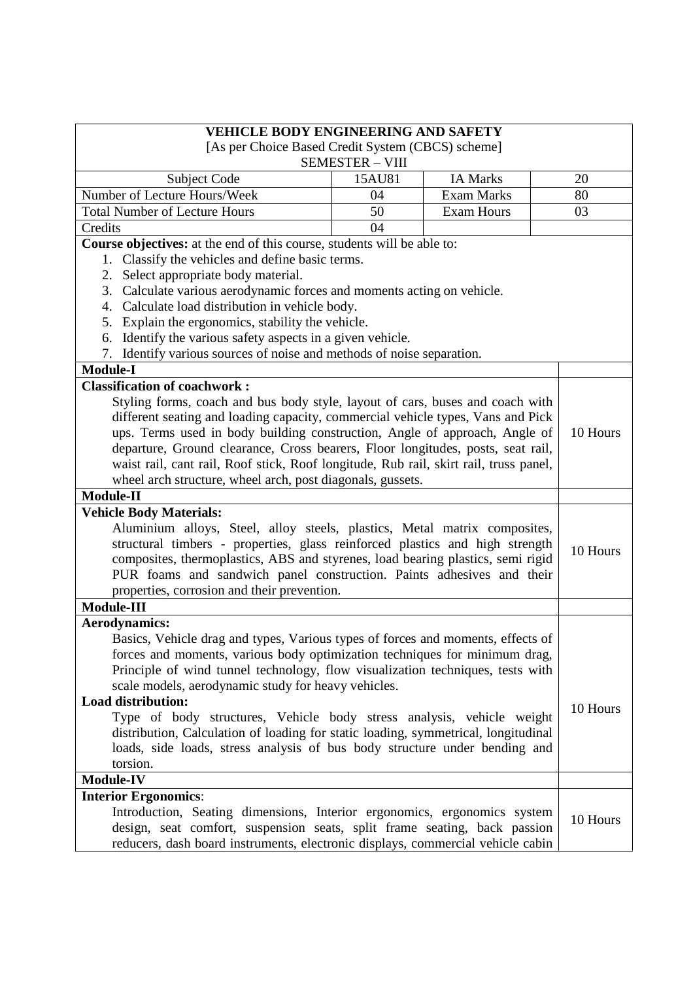| <b>VEHICLE BODY ENGINEERING AND SAFETY</b>                                            |                        |                   |  |          |
|---------------------------------------------------------------------------------------|------------------------|-------------------|--|----------|
| [As per Choice Based Credit System (CBCS) scheme]                                     |                        |                   |  |          |
|                                                                                       | <b>SEMESTER - VIII</b> |                   |  |          |
| Subject Code                                                                          | 15AU81                 | <b>IA Marks</b>   |  | 20       |
| Number of Lecture Hours/Week                                                          | 04                     | <b>Exam Marks</b> |  | 80       |
| <b>Total Number of Lecture Hours</b>                                                  | 50                     | <b>Exam Hours</b> |  | 03       |
| Credits                                                                               | 04                     |                   |  |          |
| Course objectives: at the end of this course, students will be able to:               |                        |                   |  |          |
| Classify the vehicles and define basic terms.<br>1.                                   |                        |                   |  |          |
| Select appropriate body material.<br>2.                                               |                        |                   |  |          |
| 3. Calculate various aerodynamic forces and moments acting on vehicle.                |                        |                   |  |          |
| 4. Calculate load distribution in vehicle body.                                       |                        |                   |  |          |
| Explain the ergonomics, stability the vehicle.<br>5.                                  |                        |                   |  |          |
| Identify the various safety aspects in a given vehicle.<br>6.                         |                        |                   |  |          |
| Identify various sources of noise and methods of noise separation.<br>7.              |                        |                   |  |          |
| <b>Module-I</b>                                                                       |                        |                   |  |          |
| <b>Classification of coachwork:</b>                                                   |                        |                   |  |          |
| Styling forms, coach and bus body style, layout of cars, buses and coach with         |                        |                   |  |          |
| different seating and loading capacity, commercial vehicle types, Vans and Pick       |                        |                   |  |          |
| ups. Terms used in body building construction, Angle of approach, Angle of            |                        |                   |  | 10 Hours |
| departure, Ground clearance, Cross bearers, Floor longitudes, posts, seat rail,       |                        |                   |  |          |
| waist rail, cant rail, Roof stick, Roof longitude, Rub rail, skirt rail, truss panel, |                        |                   |  |          |
| wheel arch structure, wheel arch, post diagonals, gussets.                            |                        |                   |  |          |
| Module-II                                                                             |                        |                   |  |          |
| <b>Vehicle Body Materials:</b>                                                        |                        |                   |  |          |
| Aluminium alloys, Steel, alloy steels, plastics, Metal matrix composites,             |                        |                   |  |          |
| structural timbers - properties, glass reinforced plastics and high strength          |                        |                   |  |          |
| composites, thermoplastics, ABS and styrenes, load bearing plastics, semi rigid       |                        |                   |  | 10 Hours |
| PUR foams and sandwich panel construction. Paints adhesives and their                 |                        |                   |  |          |
| properties, corrosion and their prevention.                                           |                        |                   |  |          |
| <b>Module-III</b>                                                                     |                        |                   |  |          |
| <b>Aerodynamics:</b>                                                                  |                        |                   |  |          |
| Basics, Vehicle drag and types, Various types of forces and moments, effects of       |                        |                   |  |          |
| forces and moments, various body optimization techniques for minimum drag,            |                        |                   |  |          |
| Principle of wind tunnel technology, flow visualization techniques, tests with        |                        |                   |  |          |
| scale models, aerodynamic study for heavy vehicles.                                   |                        |                   |  |          |
| <b>Load distribution:</b>                                                             |                        |                   |  |          |
| Type of body structures, Vehicle body stress analysis, vehicle weight                 |                        |                   |  | 10 Hours |
| distribution, Calculation of loading for static loading, symmetrical, longitudinal    |                        |                   |  |          |
| loads, side loads, stress analysis of bus body structure under bending and            |                        |                   |  |          |
| torsion.                                                                              |                        |                   |  |          |
| <b>Module-IV</b>                                                                      |                        |                   |  |          |
| <b>Interior Ergonomics:</b>                                                           |                        |                   |  |          |
| Introduction, Seating dimensions, Interior ergonomics, ergonomics system              |                        |                   |  |          |
| design, seat comfort, suspension seats, split frame seating, back passion             |                        |                   |  | 10 Hours |
| reducers, dash board instruments, electronic displays, commercial vehicle cabin       |                        |                   |  |          |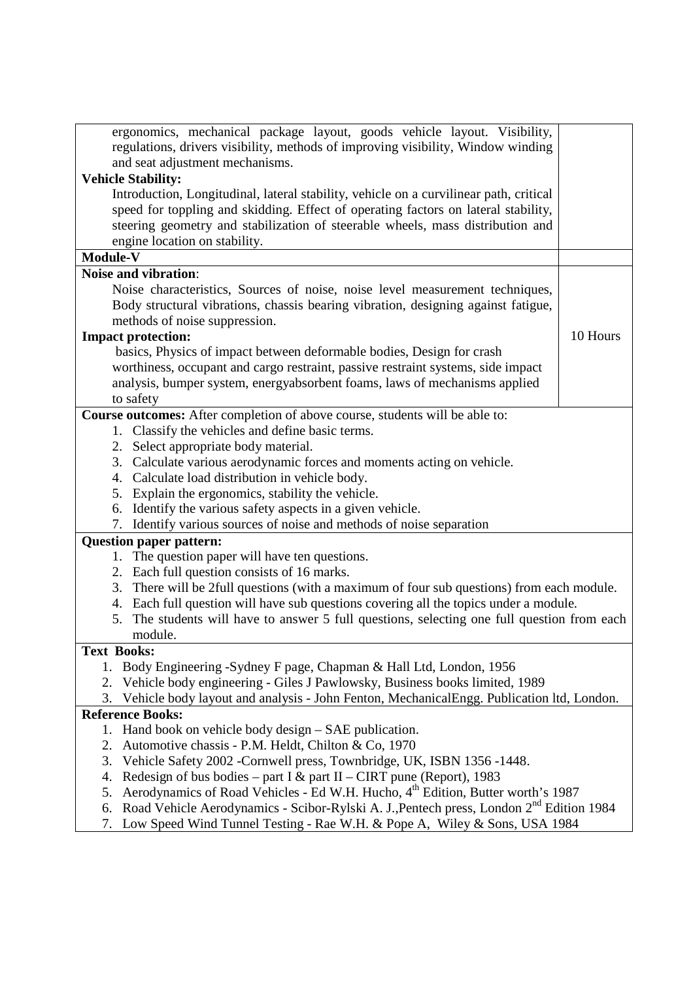| ergonomics, mechanical package layout, goods vehicle layout. Visibility,                            |          |
|-----------------------------------------------------------------------------------------------------|----------|
| regulations, drivers visibility, methods of improving visibility, Window winding                    |          |
| and seat adjustment mechanisms.                                                                     |          |
| <b>Vehicle Stability:</b>                                                                           |          |
| Introduction, Longitudinal, lateral stability, vehicle on a curvilinear path, critical              |          |
| speed for toppling and skidding. Effect of operating factors on lateral stability,                  |          |
| steering geometry and stabilization of steerable wheels, mass distribution and                      |          |
| engine location on stability.                                                                       |          |
| Module-V                                                                                            |          |
| <b>Noise and vibration:</b>                                                                         |          |
| Noise characteristics, Sources of noise, noise level measurement techniques,                        |          |
| Body structural vibrations, chassis bearing vibration, designing against fatigue,                   |          |
| methods of noise suppression.                                                                       |          |
|                                                                                                     |          |
| <b>Impact protection:</b>                                                                           | 10 Hours |
| basics, Physics of impact between deformable bodies, Design for crash                               |          |
| worthiness, occupant and cargo restraint, passive restraint systems, side impact                    |          |
| analysis, bumper system, energyabsorbent foams, laws of mechanisms applied                          |          |
| to safety                                                                                           |          |
| Course outcomes: After completion of above course, students will be able to:                        |          |
| 1. Classify the vehicles and define basic terms.                                                    |          |
| 2. Select appropriate body material.                                                                |          |
| 3. Calculate various aerodynamic forces and moments acting on vehicle.                              |          |
| 4. Calculate load distribution in vehicle body.                                                     |          |
| 5. Explain the ergonomics, stability the vehicle.                                                   |          |
| 6. Identify the various safety aspects in a given vehicle.                                          |          |
| 7. Identify various sources of noise and methods of noise separation                                |          |
| <b>Question paper pattern:</b>                                                                      |          |
|                                                                                                     |          |
| The question paper will have ten questions.<br>1.                                                   |          |
| 2. Each full question consists of 16 marks.                                                         |          |
| 3. There will be 2full questions (with a maximum of four sub questions) from each module.           |          |
| 4. Each full question will have sub questions covering all the topics under a module.               |          |
| The students will have to answer 5 full questions, selecting one full question from each<br>5.      |          |
| module.                                                                                             |          |
| <b>Text Books:</b>                                                                                  |          |
| Body Engineering -Sydney F page, Chapman & Hall Ltd, London, 1956<br>1.                             |          |
| Vehicle body engineering - Giles J Pawlowsky, Business books limited, 1989<br>2.                    |          |
| Vehicle body layout and analysis - John Fenton, MechanicalEngg. Publication ltd, London.<br>3.      |          |
| <b>Reference Books:</b>                                                                             |          |
| Hand book on vehicle body design – SAE publication.<br>1.                                           |          |
| Automotive chassis - P.M. Heldt, Chilton & Co, 1970<br>2.                                           |          |
| Vehicle Safety 2002 - Cornwell press, Townbridge, UK, ISBN 1356-1448.<br>3.                         |          |
| Redesign of bus bodies – part I & part II – CIRT pune (Report), 1983<br>4.                          |          |
| Aerodynamics of Road Vehicles - Ed W.H. Hucho, 4 <sup>th</sup> Edition, Butter worth's 1987<br>5.   |          |
| Road Vehicle Aerodynamics - Scibor-Rylski A. J., Pentech press, London 2 <sup>nd</sup> Edition 1984 |          |
| 6.                                                                                                  |          |
| Low Speed Wind Tunnel Testing - Rae W.H. & Pope A, Wiley & Sons, USA 1984<br>7.                     |          |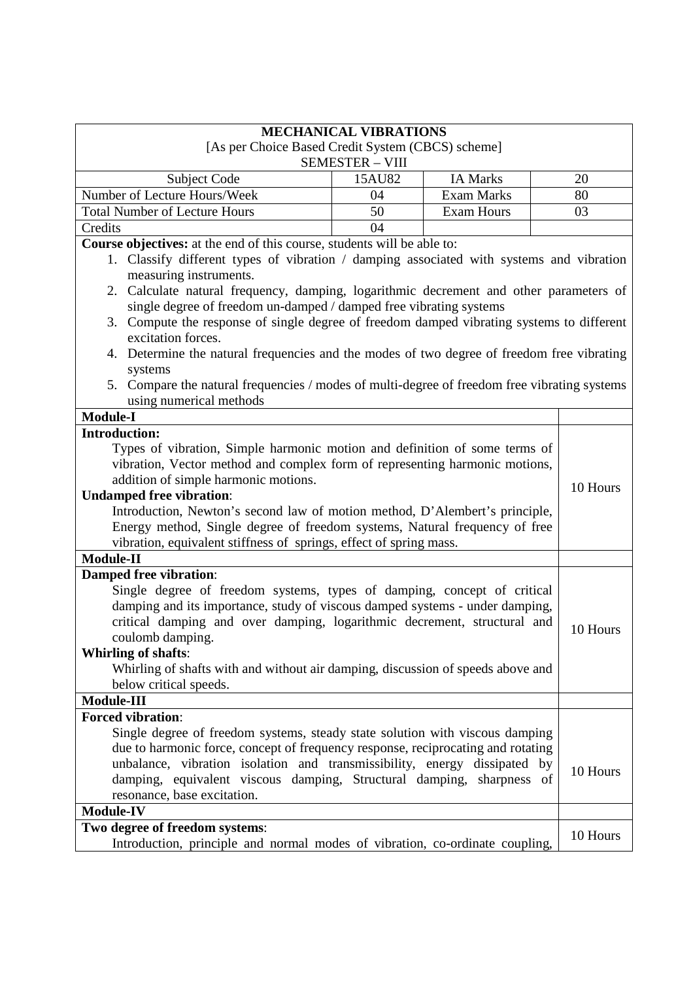| <b>MECHANICAL VIBRATIONS</b>                                                                                   |        |                   |  |          |
|----------------------------------------------------------------------------------------------------------------|--------|-------------------|--|----------|
| [As per Choice Based Credit System (CBCS) scheme]                                                              |        |                   |  |          |
| <b>SEMESTER - VIII</b>                                                                                         |        |                   |  |          |
| Subject Code                                                                                                   | 15AU82 | <b>IA Marks</b>   |  | 20       |
| Number of Lecture Hours/Week                                                                                   | 04     | <b>Exam Marks</b> |  | 80       |
| <b>Total Number of Lecture Hours</b>                                                                           | 50     | <b>Exam Hours</b> |  | 03       |
| Credits                                                                                                        | 04     |                   |  |          |
| Course objectives: at the end of this course, students will be able to:                                        |        |                   |  |          |
| 1. Classify different types of vibration / damping associated with systems and vibration                       |        |                   |  |          |
| measuring instruments.                                                                                         |        |                   |  |          |
| 2. Calculate natural frequency, damping, logarithmic decrement and other parameters of                         |        |                   |  |          |
| single degree of freedom un-damped / damped free vibrating systems                                             |        |                   |  |          |
| 3. Compute the response of single degree of freedom damped vibrating systems to different                      |        |                   |  |          |
| excitation forces.                                                                                             |        |                   |  |          |
| 4. Determine the natural frequencies and the modes of two degree of freedom free vibrating                     |        |                   |  |          |
| systems                                                                                                        |        |                   |  |          |
| 5. Compare the natural frequencies / modes of multi-degree of freedom free vibrating systems                   |        |                   |  |          |
| using numerical methods                                                                                        |        |                   |  |          |
| <b>Module-I</b>                                                                                                |        |                   |  |          |
| <b>Introduction:</b>                                                                                           |        |                   |  |          |
| Types of vibration, Simple harmonic motion and definition of some terms of                                     |        |                   |  |          |
| vibration, Vector method and complex form of representing harmonic motions,                                    |        |                   |  |          |
| addition of simple harmonic motions.                                                                           |        |                   |  | 10 Hours |
| <b>Undamped free vibration:</b><br>Introduction, Newton's second law of motion method, D'Alembert's principle, |        |                   |  |          |
|                                                                                                                |        |                   |  |          |
| Energy method, Single degree of freedom systems, Natural frequency of free                                     |        |                   |  |          |
| vibration, equivalent stiffness of springs, effect of spring mass.<br>Module-II                                |        |                   |  |          |
| <b>Damped free vibration:</b>                                                                                  |        |                   |  |          |
| Single degree of freedom systems, types of damping, concept of critical                                        |        |                   |  |          |
| damping and its importance, study of viscous damped systems - under damping,                                   |        |                   |  |          |
| critical damping and over damping, logarithmic decrement, structural and                                       |        |                   |  |          |
| coulomb damping                                                                                                |        |                   |  | 10 Hours |
| <b>Whirling of shafts:</b>                                                                                     |        |                   |  |          |
| Whirling of shafts with and without air damping, discussion of speeds above and                                |        |                   |  |          |
| below critical speeds.                                                                                         |        |                   |  |          |
| Module-III                                                                                                     |        |                   |  |          |
| <b>Forced vibration:</b>                                                                                       |        |                   |  |          |
| Single degree of freedom systems, steady state solution with viscous damping                                   |        |                   |  |          |
| due to harmonic force, concept of frequency response, reciprocating and rotating                               |        |                   |  |          |
| unbalance, vibration isolation and transmissibility, energy dissipated by                                      |        |                   |  |          |
| damping, equivalent viscous damping, Structural damping, sharpness of                                          |        |                   |  | 10 Hours |
| resonance, base excitation.                                                                                    |        |                   |  |          |
| <b>Module-IV</b>                                                                                               |        |                   |  |          |
| Two degree of freedom systems:                                                                                 |        |                   |  |          |
| Introduction, principle and normal modes of vibration, co-ordinate coupling,                                   |        |                   |  | 10 Hours |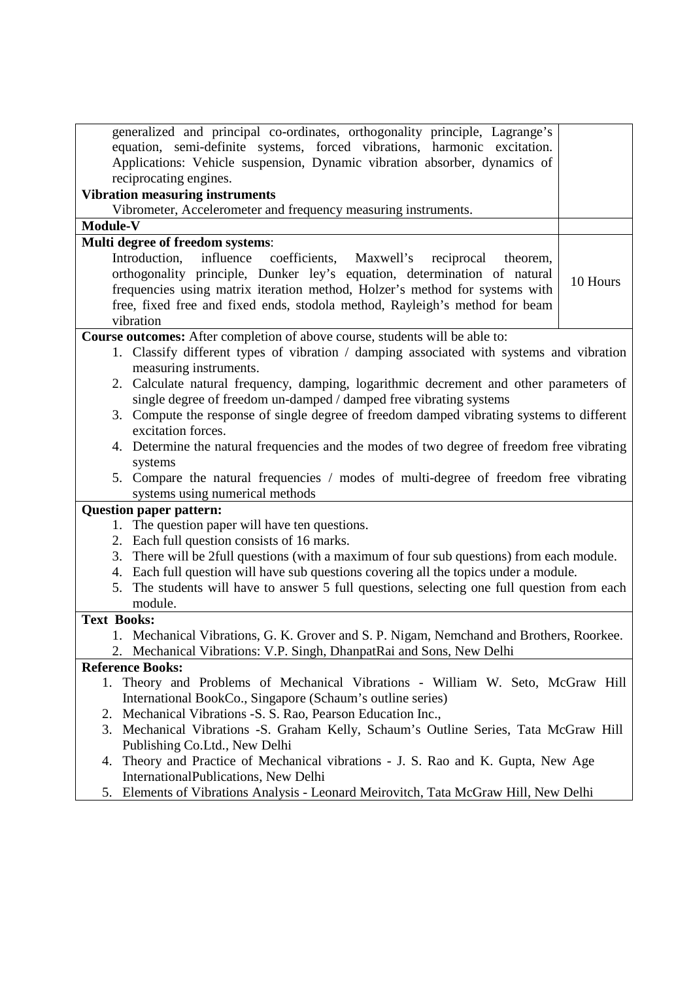| generalized and principal co-ordinates, orthogonality principle, Lagrange's                    |          |
|------------------------------------------------------------------------------------------------|----------|
| equation, semi-definite systems, forced vibrations, harmonic excitation.                       |          |
| Applications: Vehicle suspension, Dynamic vibration absorber, dynamics of                      |          |
| reciprocating engines.                                                                         |          |
| <b>Vibration measuring instruments</b>                                                         |          |
| Vibrometer, Accelerometer and frequency measuring instruments.                                 |          |
| <b>Module-V</b>                                                                                |          |
| Multi degree of freedom systems:                                                               |          |
| Introduction,<br>influence<br>coefficients,<br>Maxwell's<br>reciprocal<br>theorem,             |          |
| orthogonality principle, Dunker ley's equation, determination of natural                       |          |
| frequencies using matrix iteration method, Holzer's method for systems with                    | 10 Hours |
| free, fixed free and fixed ends, stodola method, Rayleigh's method for beam                    |          |
| vibration                                                                                      |          |
| Course outcomes: After completion of above course, students will be able to:                   |          |
| 1. Classify different types of vibration / damping associated with systems and vibration       |          |
|                                                                                                |          |
| measuring instruments.                                                                         |          |
| 2. Calculate natural frequency, damping, logarithmic decrement and other parameters of         |          |
| single degree of freedom un-damped / damped free vibrating systems                             |          |
| 3. Compute the response of single degree of freedom damped vibrating systems to different      |          |
| excitation forces.                                                                             |          |
| 4. Determine the natural frequencies and the modes of two degree of freedom free vibrating     |          |
| systems                                                                                        |          |
| 5. Compare the natural frequencies / modes of multi-degree of freedom free vibrating           |          |
| systems using numerical methods                                                                |          |
| <b>Question paper pattern:</b>                                                                 |          |
| The question paper will have ten questions.<br>1.                                              |          |
| 2. Each full question consists of 16 marks.                                                    |          |
| There will be 2full questions (with a maximum of four sub questions) from each module.<br>3.   |          |
| 4. Each full question will have sub questions covering all the topics under a module.          |          |
| The students will have to answer 5 full questions, selecting one full question from each<br>5. |          |
| module.                                                                                        |          |
| <b>Text Books:</b>                                                                             |          |
| 1. Mechanical Vibrations, G. K. Grover and S. P. Nigam, Nemchand and Brothers, Roorkee.        |          |
| 2. Mechanical Vibrations: V.P. Singh, DhanpatRai and Sons, New Delhi                           |          |
| <b>Reference Books:</b>                                                                        |          |
| 1. Theory and Problems of Mechanical Vibrations - William W. Seto, McGraw Hill                 |          |
| International BookCo., Singapore (Schaum's outline series)                                     |          |
| Mechanical Vibrations - S. S. Rao, Pearson Education Inc.,<br>2.                               |          |
| 3. Mechanical Vibrations -S. Graham Kelly, Schaum's Outline Series, Tata McGraw Hill           |          |
| Publishing Co.Ltd., New Delhi                                                                  |          |
| Theory and Practice of Mechanical vibrations - J. S. Rao and K. Gupta, New Age<br>4.           |          |
| InternationalPublications, New Delhi                                                           |          |
| 5. Elements of Vibrations Analysis - Leonard Meirovitch, Tata McGraw Hill, New Delhi           |          |
|                                                                                                |          |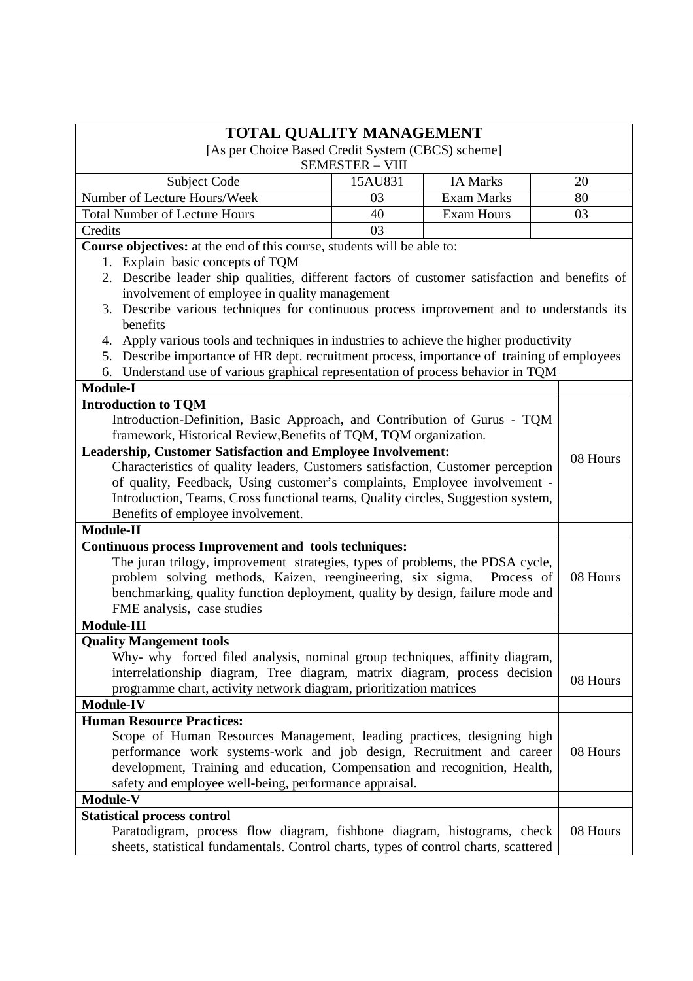| TOTAL QUALITY MANAGEMENT                                                                                                                                                                 |                        |                   |          |
|------------------------------------------------------------------------------------------------------------------------------------------------------------------------------------------|------------------------|-------------------|----------|
| [As per Choice Based Credit System (CBCS) scheme]                                                                                                                                        |                        |                   |          |
|                                                                                                                                                                                          | <b>SEMESTER - VIII</b> |                   |          |
| <b>Subject Code</b>                                                                                                                                                                      | 15AU831                | <b>IA Marks</b>   | 20       |
| Number of Lecture Hours/Week                                                                                                                                                             | 03                     | <b>Exam Marks</b> | 80       |
| <b>Total Number of Lecture Hours</b>                                                                                                                                                     | 40                     | <b>Exam Hours</b> | 03       |
| Credits                                                                                                                                                                                  | 03                     |                   |          |
| Course objectives: at the end of this course, students will be able to:                                                                                                                  |                        |                   |          |
| 1. Explain basic concepts of TQM                                                                                                                                                         |                        |                   |          |
| 2. Describe leader ship qualities, different factors of customer satisfaction and benefits of                                                                                            |                        |                   |          |
| involvement of employee in quality management                                                                                                                                            |                        |                   |          |
| 3. Describe various techniques for continuous process improvement and to understands its                                                                                                 |                        |                   |          |
| benefits                                                                                                                                                                                 |                        |                   |          |
| 4. Apply various tools and techniques in industries to achieve the higher productivity<br>Describe importance of HR dept. recruitment process, importance of training of employees<br>5. |                        |                   |          |
| Understand use of various graphical representation of process behavior in TQM<br>6.                                                                                                      |                        |                   |          |
| <b>Module-I</b>                                                                                                                                                                          |                        |                   |          |
| <b>Introduction to TOM</b>                                                                                                                                                               |                        |                   |          |
| Introduction-Definition, Basic Approach, and Contribution of Gurus - TQM                                                                                                                 |                        |                   |          |
| framework, Historical Review, Benefits of TQM, TQM organization.                                                                                                                         |                        |                   |          |
| Leadership, Customer Satisfaction and Employee Involvement:                                                                                                                              |                        |                   |          |
|                                                                                                                                                                                          |                        |                   | 08 Hours |
| Characteristics of quality leaders, Customers satisfaction, Customer perception<br>of quality, Feedback, Using customer's complaints, Employee involvement -                             |                        |                   |          |
| Introduction, Teams, Cross functional teams, Quality circles, Suggestion system,                                                                                                         |                        |                   |          |
| Benefits of employee involvement.                                                                                                                                                        |                        |                   |          |
| Module-II                                                                                                                                                                                |                        |                   |          |
| <b>Continuous process Improvement and tools techniques:</b>                                                                                                                              |                        |                   |          |
| The juran trilogy, improvement strategies, types of problems, the PDSA cycle,                                                                                                            |                        |                   |          |
| problem solving methods, Kaizen, reengineering, six sigma,                                                                                                                               |                        | Process of        | 08 Hours |
| benchmarking, quality function deployment, quality by design, failure mode and                                                                                                           |                        |                   |          |
| FME analysis, case studies                                                                                                                                                               |                        |                   |          |
| Module-III                                                                                                                                                                               |                        |                   |          |
| <b>Quality Mangement tools</b>                                                                                                                                                           |                        |                   |          |
| Why- why forced filed analysis, nominal group techniques, affinity diagram,                                                                                                              |                        |                   |          |
| interrelationship diagram, Tree diagram, matrix diagram, process decision                                                                                                                |                        |                   | 08 Hours |
| programme chart, activity network diagram, prioritization matrices                                                                                                                       |                        |                   |          |
| <b>Module-IV</b>                                                                                                                                                                         |                        |                   |          |
| <b>Human Resource Practices:</b>                                                                                                                                                         |                        |                   |          |
| Scope of Human Resources Management, leading practices, designing high                                                                                                                   |                        |                   |          |
| performance work systems-work and job design, Recruitment and career                                                                                                                     |                        |                   | 08 Hours |
| development, Training and education, Compensation and recognition, Health,<br>safety and employee well-being, performance appraisal.                                                     |                        |                   |          |
| <b>Module-V</b>                                                                                                                                                                          |                        |                   |          |
| <b>Statistical process control</b>                                                                                                                                                       |                        |                   |          |
| Paratodigram, process flow diagram, fishbone diagram, histograms, check                                                                                                                  |                        |                   | 08 Hours |
| sheets, statistical fundamentals. Control charts, types of control charts, scattered                                                                                                     |                        |                   |          |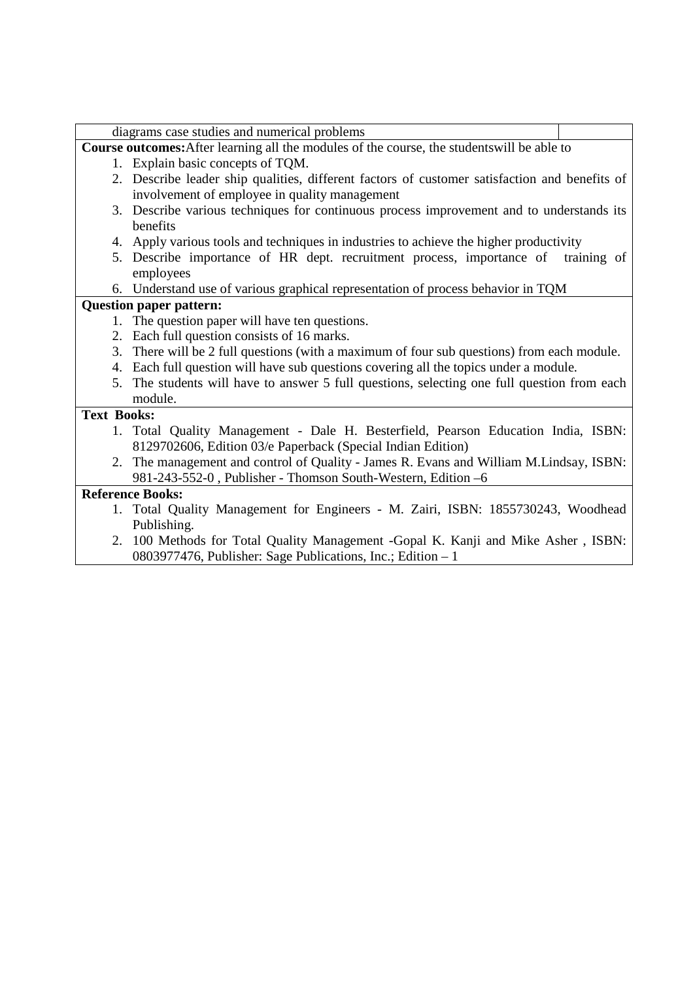|                    | diagrams case studies and numerical problems                                                  |  |  |
|--------------------|-----------------------------------------------------------------------------------------------|--|--|
|                    | Course outcomes: After learning all the modules of the course, the students will be able to   |  |  |
|                    | 1. Explain basic concepts of TQM.                                                             |  |  |
|                    | 2. Describe leader ship qualities, different factors of customer satisfaction and benefits of |  |  |
|                    | involvement of employee in quality management                                                 |  |  |
|                    | 3. Describe various techniques for continuous process improvement and to understands its      |  |  |
|                    | benefits                                                                                      |  |  |
|                    | 4. Apply various tools and techniques in industries to achieve the higher productivity        |  |  |
| 5.                 | Describe importance of HR dept. recruitment process, importance of training of                |  |  |
|                    | employees                                                                                     |  |  |
|                    | 6. Understand use of various graphical representation of process behavior in TQM              |  |  |
|                    | <b>Question paper pattern:</b>                                                                |  |  |
|                    | 1. The question paper will have ten questions.                                                |  |  |
|                    | 2. Each full question consists of 16 marks.                                                   |  |  |
| 3.                 | There will be 2 full questions (with a maximum of four sub questions) from each module.       |  |  |
| 4.                 | Each full question will have sub questions covering all the topics under a module.            |  |  |
|                    | 5. The students will have to answer 5 full questions, selecting one full question from each   |  |  |
|                    | module.                                                                                       |  |  |
| <b>Text Books:</b> |                                                                                               |  |  |
|                    | 1. Total Quality Management - Dale H. Besterfield, Pearson Education India, ISBN:             |  |  |
|                    | 8129702606, Edition 03/e Paperback (Special Indian Edition)                                   |  |  |
|                    | 2. The management and control of Quality - James R. Evans and William M.Lindsay, ISBN:        |  |  |
|                    | 981-243-552-0, Publisher - Thomson South-Western, Edition -6                                  |  |  |
|                    | <b>Reference Books:</b>                                                                       |  |  |
|                    | 1. Total Quality Management for Engineers - M. Zairi, ISBN: 1855730243, Woodhead              |  |  |
|                    | Publishing.                                                                                   |  |  |
| 2.                 | 100 Methods for Total Quality Management -Gopal K. Kanji and Mike Asher, ISBN:                |  |  |
|                    | 0803977476, Publisher: Sage Publications, Inc.; Edition – 1                                   |  |  |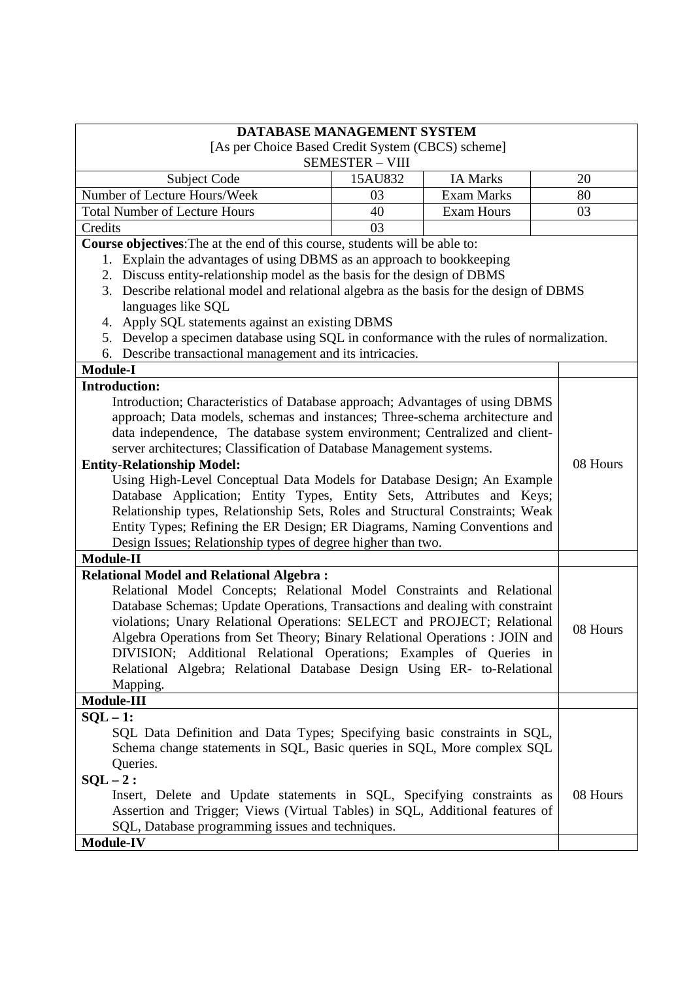| <b>DATABASE MANAGEMENT SYSTEM</b>                                                        |                        |                   |          |
|------------------------------------------------------------------------------------------|------------------------|-------------------|----------|
| [As per Choice Based Credit System (CBCS) scheme]                                        |                        |                   |          |
|                                                                                          | <b>SEMESTER - VIII</b> |                   |          |
| Subject Code                                                                             | 15AU832                | <b>IA Marks</b>   | 20       |
| Number of Lecture Hours/Week                                                             | 03                     | <b>Exam Marks</b> | 80       |
| <b>Total Number of Lecture Hours</b>                                                     | 40                     | <b>Exam Hours</b> | 03       |
| Credits                                                                                  | 03                     |                   |          |
| Course objectives: The at the end of this course, students will be able to:              |                        |                   |          |
| 1. Explain the advantages of using DBMS as an approach to bookkeeping                    |                        |                   |          |
| 2. Discuss entity-relationship model as the basis for the design of DBMS                 |                        |                   |          |
| 3. Describe relational model and relational algebra as the basis for the design of DBMS  |                        |                   |          |
| languages like SQL                                                                       |                        |                   |          |
| 4. Apply SQL statements against an existing DBMS                                         |                        |                   |          |
| 5. Develop a specimen database using SQL in conformance with the rules of normalization. |                        |                   |          |
| 6. Describe transactional management and its intricacies.                                |                        |                   |          |
| <b>Module-I</b>                                                                          |                        |                   |          |
| <b>Introduction:</b>                                                                     |                        |                   |          |
| Introduction; Characteristics of Database approach; Advantages of using DBMS             |                        |                   |          |
| approach; Data models, schemas and instances; Three-schema architecture and              |                        |                   |          |
| data independence, The database system environment; Centralized and client-              |                        |                   |          |
| server architectures; Classification of Database Management systems.                     |                        |                   |          |
| <b>Entity-Relationship Model:</b>                                                        |                        |                   | 08 Hours |
| Using High-Level Conceptual Data Models for Database Design; An Example                  |                        |                   |          |
| Database Application; Entity Types, Entity Sets, Attributes and Keys;                    |                        |                   |          |
| Relationship types, Relationship Sets, Roles and Structural Constraints; Weak            |                        |                   |          |
| Entity Types; Refining the ER Design; ER Diagrams, Naming Conventions and                |                        |                   |          |
| Design Issues; Relationship types of degree higher than two.                             |                        |                   |          |
| <b>Module-II</b>                                                                         |                        |                   |          |
| <b>Relational Model and Relational Algebra:</b>                                          |                        |                   |          |
| Relational Model Concepts; Relational Model Constraints and Relational                   |                        |                   |          |
| Database Schemas; Update Operations, Transactions and dealing with constraint            |                        |                   |          |
| violations; Unary Relational Operations: SELECT and PROJECT; Relational                  |                        |                   | 08 Hours |
| Algebra Operations from Set Theory; Binary Relational Operations : JOIN and              |                        |                   |          |
| DIVISION; Additional Relational Operations; Examples of Queries in                       |                        |                   |          |
| Relational Algebra; Relational Database Design Using ER- to-Relational                   |                        |                   |          |
| Mapping.                                                                                 |                        |                   |          |
| Module-III                                                                               |                        |                   |          |
| $SOL - 1:$                                                                               |                        |                   |          |
| SQL Data Definition and Data Types; Specifying basic constraints in SQL,                 |                        |                   |          |
| Schema change statements in SQL, Basic queries in SQL, More complex SQL                  |                        |                   |          |
| Queries.                                                                                 |                        |                   |          |
| $SQL - 2:$                                                                               |                        |                   |          |
| Insert, Delete and Update statements in SQL, Specifying constraints as                   |                        |                   | 08 Hours |
| Assertion and Trigger; Views (Virtual Tables) in SQL, Additional features of             |                        |                   |          |
| SQL, Database programming issues and techniques.                                         |                        |                   |          |
| <b>Module-IV</b>                                                                         |                        |                   |          |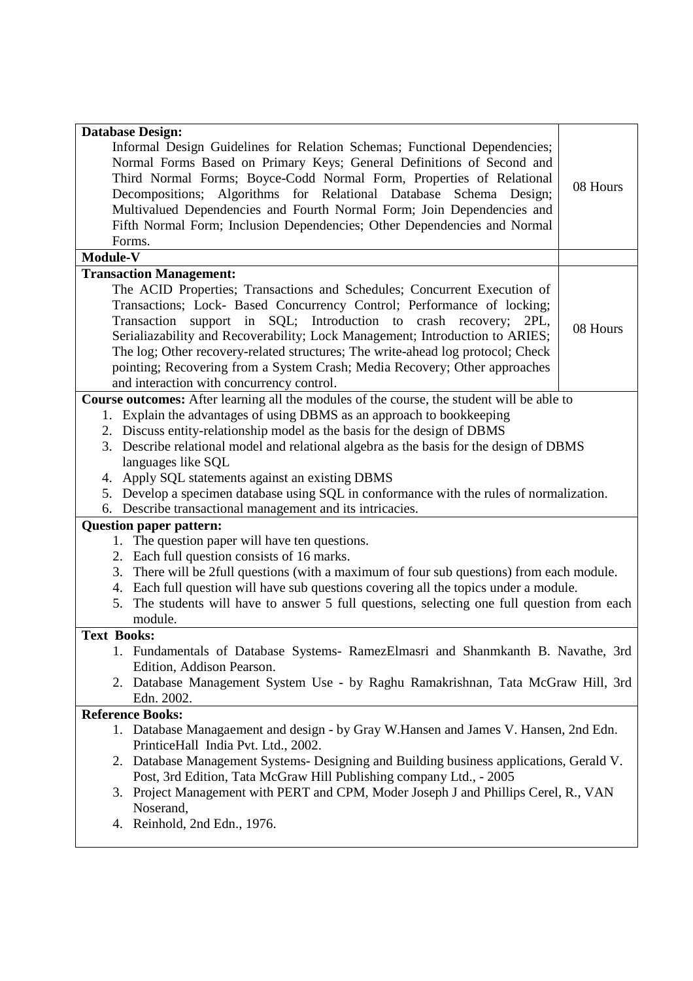| <b>Database Design:</b>                                                                                                                               |          |
|-------------------------------------------------------------------------------------------------------------------------------------------------------|----------|
| Informal Design Guidelines for Relation Schemas; Functional Dependencies;                                                                             |          |
| Normal Forms Based on Primary Keys; General Definitions of Second and                                                                                 |          |
| Third Normal Forms; Boyce-Codd Normal Form, Properties of Relational                                                                                  |          |
| Decompositions; Algorithms for Relational Database Schema Design;                                                                                     | 08 Hours |
| Multivalued Dependencies and Fourth Normal Form; Join Dependencies and                                                                                |          |
| Fifth Normal Form; Inclusion Dependencies; Other Dependencies and Normal                                                                              |          |
| Forms.                                                                                                                                                |          |
| <b>Module-V</b>                                                                                                                                       |          |
| <b>Transaction Management:</b>                                                                                                                        |          |
| The ACID Properties; Transactions and Schedules; Concurrent Execution of                                                                              |          |
| Transactions; Lock- Based Concurrency Control; Performance of locking;                                                                                |          |
| Transaction support in SQL; Introduction to crash recovery;<br>2PL,                                                                                   |          |
| Serialiazability and Recoverability; Lock Management; Introduction to ARIES;                                                                          | 08 Hours |
| The log; Other recovery-related structures; The write-ahead log protocol; Check                                                                       |          |
| pointing; Recovering from a System Crash; Media Recovery; Other approaches                                                                            |          |
| and interaction with concurrency control.                                                                                                             |          |
| Course outcomes: After learning all the modules of the course, the student will be able to                                                            |          |
| 1. Explain the advantages of using DBMS as an approach to bookkeeping                                                                                 |          |
| 2. Discuss entity-relationship model as the basis for the design of DBMS                                                                              |          |
| 3. Describe relational model and relational algebra as the basis for the design of DBMS                                                               |          |
| languages like SQL                                                                                                                                    |          |
|                                                                                                                                                       |          |
| 4. Apply SQL statements against an existing DBMS                                                                                                      |          |
| 5. Develop a specimen database using SQL in conformance with the rules of normalization.<br>6. Describe transactional management and its intricacies. |          |
| <b>Question paper pattern:</b>                                                                                                                        |          |
|                                                                                                                                                       |          |
| 1. The question paper will have ten questions.                                                                                                        |          |
| 2. Each full question consists of 16 marks.<br>3.                                                                                                     |          |
| There will be 2full questions (with a maximum of four sub questions) from each module.                                                                |          |
| Each full question will have sub questions covering all the topics under a module.<br>4.                                                              |          |
| The students will have to answer 5 full questions, selecting one full question from each<br>5.                                                        |          |
| module.                                                                                                                                               |          |
| <b>Text Books:</b>                                                                                                                                    |          |
| 1. Fundamentals of Database Systems- RamezElmasri and Shanmkanth B. Navathe, 3rd                                                                      |          |
| Edition, Addison Pearson.                                                                                                                             |          |
| 2. Database Management System Use - by Raghu Ramakrishnan, Tata McGraw Hill, 3rd                                                                      |          |
| Edn. 2002.                                                                                                                                            |          |
| <b>Reference Books:</b>                                                                                                                               |          |
| 1. Database Managaement and design - by Gray W.Hansen and James V. Hansen, 2nd Edn.                                                                   |          |
| PrinticeHall India Pvt. Ltd., 2002.                                                                                                                   |          |
| 2. Database Management Systems- Designing and Building business applications, Gerald V.                                                               |          |
| Post, 3rd Edition, Tata McGraw Hill Publishing company Ltd., - 2005                                                                                   |          |
| 3. Project Management with PERT and CPM, Moder Joseph J and Phillips Cerel, R., VAN                                                                   |          |
| Noserand,                                                                                                                                             |          |
| 4. Reinhold, 2nd Edn., 1976.                                                                                                                          |          |
|                                                                                                                                                       |          |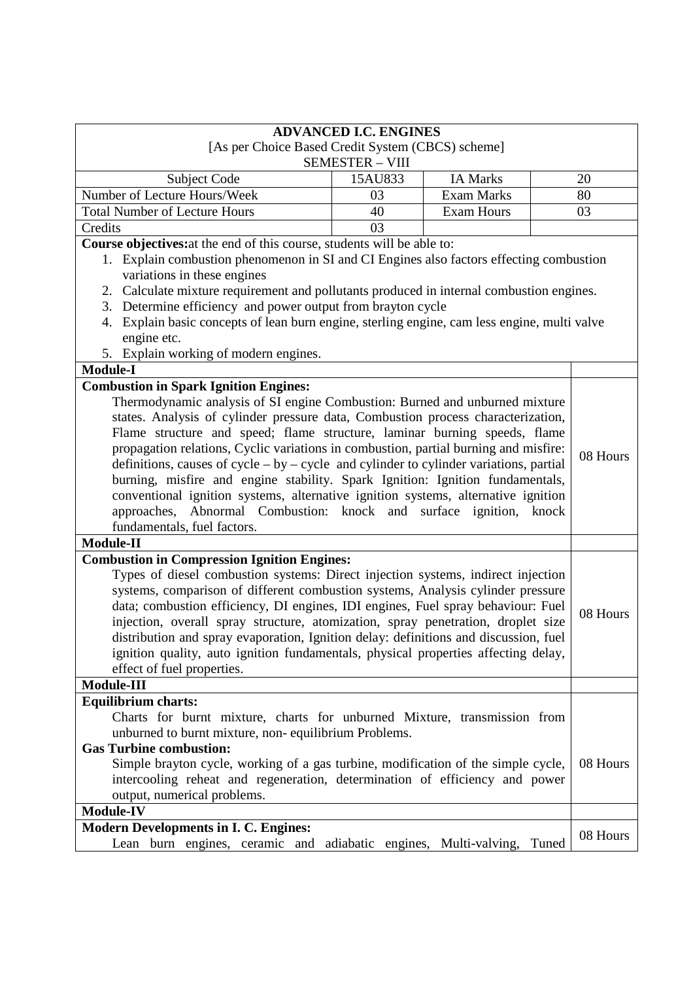|                                                                                                                                                                     | <b>ADVANCED I.C. ENGINES</b> |                   |          |
|---------------------------------------------------------------------------------------------------------------------------------------------------------------------|------------------------------|-------------------|----------|
| [As per Choice Based Credit System (CBCS) scheme]                                                                                                                   |                              |                   |          |
|                                                                                                                                                                     | <b>SEMESTER - VIII</b>       |                   |          |
| Subject Code                                                                                                                                                        | 15AU833                      | <b>IA Marks</b>   | 20       |
| Number of Lecture Hours/Week                                                                                                                                        | 03                           | <b>Exam Marks</b> | 80       |
| <b>Total Number of Lecture Hours</b>                                                                                                                                | 40                           | <b>Exam Hours</b> | 03       |
| Credits                                                                                                                                                             | 03                           |                   |          |
| Course objectives: at the end of this course, students will be able to:                                                                                             |                              |                   |          |
| Explain combustion phenomenon in SI and CI Engines also factors effecting combustion<br>1.                                                                          |                              |                   |          |
| variations in these engines                                                                                                                                         |                              |                   |          |
| 2. Calculate mixture requirement and pollutants produced in internal combustion engines.                                                                            |                              |                   |          |
| Determine efficiency and power output from brayton cycle<br>3.                                                                                                      |                              |                   |          |
| Explain basic concepts of lean burn engine, sterling engine, cam less engine, multi valve<br>4.                                                                     |                              |                   |          |
| engine etc.                                                                                                                                                         |                              |                   |          |
| 5. Explain working of modern engines.                                                                                                                               |                              |                   |          |
| <b>Module-I</b>                                                                                                                                                     |                              |                   |          |
| <b>Combustion in Spark Ignition Engines:</b>                                                                                                                        |                              |                   |          |
| Thermodynamic analysis of SI engine Combustion: Burned and unburned mixture                                                                                         |                              |                   |          |
| states. Analysis of cylinder pressure data, Combustion process characterization,                                                                                    |                              |                   |          |
| Flame structure and speed; flame structure, laminar burning speeds, flame                                                                                           |                              |                   |          |
| propagation relations, Cyclic variations in combustion, partial burning and misfire:                                                                                |                              |                   |          |
| definitions, causes of $cycle - by - cycle$ and cylinder to cylinder variations, partial                                                                            |                              |                   | 08 Hours |
|                                                                                                                                                                     |                              |                   |          |
| burning, misfire and engine stability. Spark Ignition: Ignition fundamentals,                                                                                       |                              |                   |          |
| conventional ignition systems, alternative ignition systems, alternative ignition<br>approaches, Abnormal Combustion: knock and<br>surface ignition, knock          |                              |                   |          |
|                                                                                                                                                                     |                              |                   |          |
| fundamentals, fuel factors.<br>Module-II                                                                                                                            |                              |                   |          |
|                                                                                                                                                                     |                              |                   |          |
| <b>Combustion in Compression Ignition Engines:</b>                                                                                                                  |                              |                   |          |
| Types of diesel combustion systems: Direct injection systems, indirect injection                                                                                    |                              |                   |          |
| systems, comparison of different combustion systems, Analysis cylinder pressure<br>data; combustion efficiency, DI engines, IDI engines, Fuel spray behaviour: Fuel |                              |                   |          |
|                                                                                                                                                                     |                              |                   | 08 Hours |
| injection, overall spray structure, atomization, spray penetration, droplet size                                                                                    |                              |                   |          |
| distribution and spray evaporation, Ignition delay: definitions and discussion, fuel                                                                                |                              |                   |          |
| ignition quality, auto ignition fundamentals, physical properties affecting delay,                                                                                  |                              |                   |          |
| effect of fuel properties.                                                                                                                                          |                              |                   |          |
| Module-III                                                                                                                                                          |                              |                   |          |
| <b>Equilibrium charts:</b>                                                                                                                                          |                              |                   |          |
| Charts for burnt mixture, charts for unburned Mixture, transmission from                                                                                            |                              |                   |          |
| unburned to burnt mixture, non-equilibrium Problems.                                                                                                                |                              |                   |          |
| <b>Gas Turbine combustion:</b>                                                                                                                                      |                              |                   |          |
| Simple brayton cycle, working of a gas turbine, modification of the simple cycle,                                                                                   |                              |                   | 08 Hours |
| intercooling reheat and regeneration, determination of efficiency and power                                                                                         |                              |                   |          |
| output, numerical problems.                                                                                                                                         |                              |                   |          |
| <b>Module-IV</b>                                                                                                                                                    |                              |                   |          |
| <b>Modern Developments in I. C. Engines:</b>                                                                                                                        |                              |                   | 08 Hours |
| Lean burn engines, ceramic and adiabatic engines, Multi-valving, Tuned                                                                                              |                              |                   |          |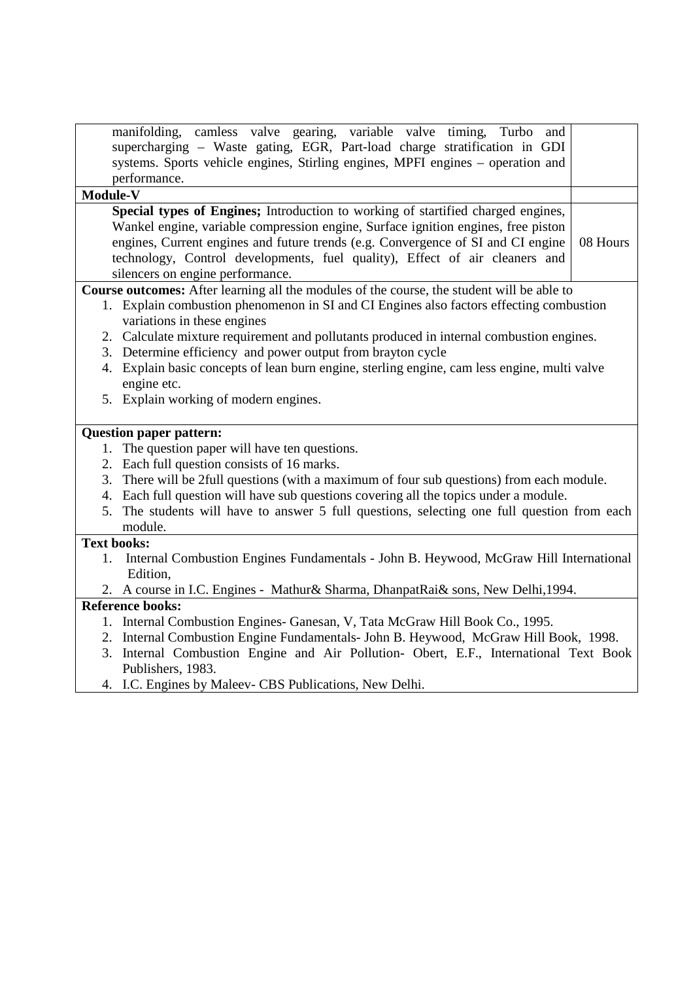| manifolding, camless valve gearing, variable valve timing, Turbo and<br>supercharging - Waste gating, EGR, Part-load charge stratification in GDI |          |
|---------------------------------------------------------------------------------------------------------------------------------------------------|----------|
| systems. Sports vehicle engines, Stirling engines, MPFI engines - operation and                                                                   |          |
| performance.                                                                                                                                      |          |
| Module-V                                                                                                                                          |          |
| Special types of Engines; Introduction to working of startified charged engines,                                                                  |          |
| Wankel engine, variable compression engine, Surface ignition engines, free piston                                                                 |          |
| engines, Current engines and future trends (e.g. Convergence of SI and CI engine                                                                  | 08 Hours |
| technology, Control developments, fuel quality), Effect of air cleaners and                                                                       |          |
| silencers on engine performance.                                                                                                                  |          |
| Course outcomes: After learning all the modules of the course, the student will be able to                                                        |          |
| 1. Explain combustion phenomenon in SI and CI Engines also factors effecting combustion                                                           |          |
| variations in these engines                                                                                                                       |          |
| 2. Calculate mixture requirement and pollutants produced in internal combustion engines.                                                          |          |
| 3. Determine efficiency and power output from brayton cycle                                                                                       |          |
| 4. Explain basic concepts of lean burn engine, sterling engine, cam less engine, multi valve                                                      |          |
| engine etc.                                                                                                                                       |          |
| 5. Explain working of modern engines.                                                                                                             |          |
|                                                                                                                                                   |          |
| <b>Question paper pattern:</b>                                                                                                                    |          |
| 1. The question paper will have ten questions.                                                                                                    |          |
| 2. Each full question consists of 16 marks.                                                                                                       |          |
| 3. There will be 2full questions (with a maximum of four sub questions) from each module.                                                         |          |
|                                                                                                                                                   |          |
| 4. Each full question will have sub questions covering all the topics under a module.                                                             |          |
| 5. The students will have to answer 5 full questions, selecting one full question from each                                                       |          |
| module.                                                                                                                                           |          |
| <b>Text books:</b>                                                                                                                                |          |
| Internal Combustion Engines Fundamentals - John B. Heywood, McGraw Hill International<br>1.<br>Edition,                                           |          |
|                                                                                                                                                   |          |
| 2. A course in I.C. Engines - Mathur& Sharma, DhanpatRai& sons, New Delhi, 1994.<br><b>Reference books:</b>                                       |          |
| 1. Internal Combustion Engines- Ganesan, V, Tata McGraw Hill Book Co., 1995.                                                                      |          |
| 2. Internal Combustion Engine Fundamentals- John B. Heywood, McGraw Hill Book, 1998.                                                              |          |
| 3. Internal Combustion Engine and Air Pollution- Obert, E.F., International Text Book                                                             |          |
| Publishers, 1983.                                                                                                                                 |          |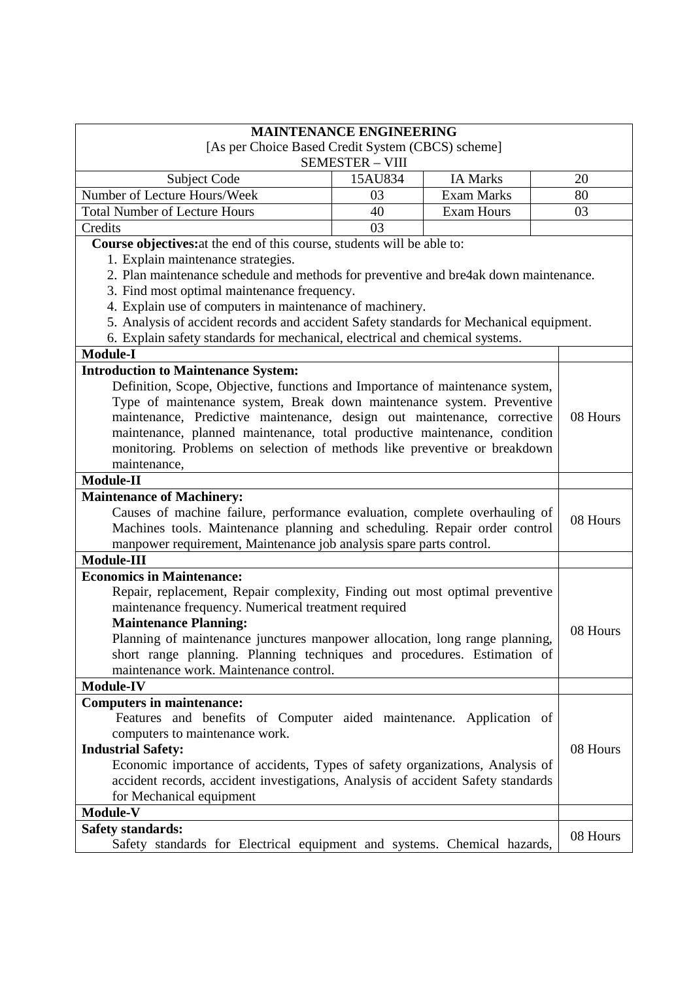|                                                                                         | <b>MAINTENANCE ENGINEERING</b> |                   |    |          |
|-----------------------------------------------------------------------------------------|--------------------------------|-------------------|----|----------|
| [As per Choice Based Credit System (CBCS) scheme]                                       |                                |                   |    |          |
|                                                                                         | <b>SEMESTER - VIII</b>         |                   |    |          |
| Subject Code                                                                            | 15AU834                        | <b>IA Marks</b>   |    | 20       |
| Number of Lecture Hours/Week                                                            | 03                             | <b>Exam Marks</b> |    | 80       |
| <b>Total Number of Lecture Hours</b>                                                    | 40                             | <b>Exam Hours</b> | 03 |          |
| Credits                                                                                 | 03                             |                   |    |          |
| Course objectives: at the end of this course, students will be able to:                 |                                |                   |    |          |
| 1. Explain maintenance strategies.                                                      |                                |                   |    |          |
| 2. Plan maintenance schedule and methods for preventive and bre4ak down maintenance.    |                                |                   |    |          |
| 3. Find most optimal maintenance frequency.                                             |                                |                   |    |          |
| 4. Explain use of computers in maintenance of machinery.                                |                                |                   |    |          |
| 5. Analysis of accident records and accident Safety standards for Mechanical equipment. |                                |                   |    |          |
| 6. Explain safety standards for mechanical, electrical and chemical systems.            |                                |                   |    |          |
| <b>Module-I</b>                                                                         |                                |                   |    |          |
| <b>Introduction to Maintenance System:</b>                                              |                                |                   |    |          |
| Definition, Scope, Objective, functions and Importance of maintenance system,           |                                |                   |    |          |
| Type of maintenance system, Break down maintenance system. Preventive                   |                                |                   |    |          |
| maintenance, Predictive maintenance, design out maintenance, corrective                 |                                |                   |    | 08 Hours |
| maintenance, planned maintenance, total productive maintenance, condition               |                                |                   |    |          |
| monitoring. Problems on selection of methods like preventive or breakdown               |                                |                   |    |          |
| maintenance,                                                                            |                                |                   |    |          |
| Module-II                                                                               |                                |                   |    |          |
| <b>Maintenance of Machinery:</b>                                                        |                                |                   |    |          |
| Causes of machine failure, performance evaluation, complete overhauling of              |                                |                   |    | 08 Hours |
| Machines tools. Maintenance planning and scheduling. Repair order control               |                                |                   |    |          |
| manpower requirement, Maintenance job analysis spare parts control.                     |                                |                   |    |          |
| Module-III                                                                              |                                |                   |    |          |
| <b>Economics in Maintenance:</b>                                                        |                                |                   |    |          |
| Repair, replacement, Repair complexity, Finding out most optimal preventive             |                                |                   |    |          |
| maintenance frequency. Numerical treatment required                                     |                                |                   |    |          |
| <b>Maintenance Planning:</b>                                                            |                                |                   |    | 08 Hours |
| Planning of maintenance junctures manpower allocation, long range planning,             |                                |                   |    |          |
| short range planning. Planning techniques and procedures. Estimation of                 |                                |                   |    |          |
| maintenance work. Maintenance control.                                                  |                                |                   |    |          |
| <b>Module-IV</b>                                                                        |                                |                   |    |          |
| <b>Computers in maintenance:</b>                                                        |                                |                   |    |          |
| Features and benefits of Computer aided maintenance. Application of                     |                                |                   |    |          |
| <b>Industrial Safety:</b>                                                               | computers to maintenance work. |                   |    | 08 Hours |
| Economic importance of accidents, Types of safety organizations, Analysis of            |                                |                   |    |          |
| accident records, accident investigations, Analysis of accident Safety standards        |                                |                   |    |          |
| for Mechanical equipment                                                                |                                |                   |    |          |
| Module-V                                                                                |                                |                   |    |          |
| <b>Safety standards:</b>                                                                |                                |                   |    |          |
| Safety standards for Electrical equipment and systems. Chemical hazards,                |                                |                   |    | 08 Hours |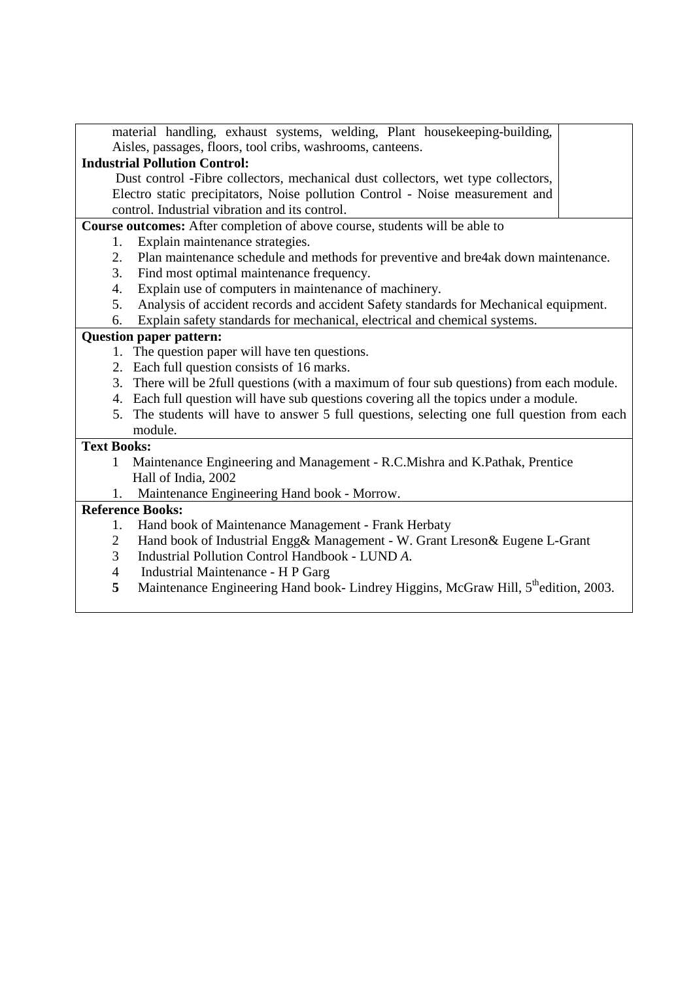| material handling, exhaust systems, welding, Plant housekeeping-building,                            |  |
|------------------------------------------------------------------------------------------------------|--|
| Aisles, passages, floors, tool cribs, washrooms, canteens.                                           |  |
| <b>Industrial Pollution Control:</b>                                                                 |  |
| Dust control -Fibre collectors, mechanical dust collectors, wet type collectors,                     |  |
| Electro static precipitators, Noise pollution Control - Noise measurement and                        |  |
| control. Industrial vibration and its control.                                                       |  |
| Course outcomes: After completion of above course, students will be able to                          |  |
| Explain maintenance strategies.<br>1.                                                                |  |
| Plan maintenance schedule and methods for preventive and bre4ak down maintenance.<br>2.              |  |
| Find most optimal maintenance frequency.<br>3.                                                       |  |
| Explain use of computers in maintenance of machinery.<br>4.                                          |  |
| Analysis of accident records and accident Safety standards for Mechanical equipment.<br>5.           |  |
| Explain safety standards for mechanical, electrical and chemical systems.<br>6.                      |  |
| <b>Question paper pattern:</b>                                                                       |  |
| 1. The question paper will have ten questions.                                                       |  |
| 2. Each full question consists of 16 marks.                                                          |  |
| There will be 2full questions (with a maximum of four sub questions) from each module.<br>3.         |  |
| 4. Each full question will have sub questions covering all the topics under a module.                |  |
| The students will have to answer 5 full questions, selecting one full question from each<br>5.       |  |
| module.                                                                                              |  |
| <b>Text Books:</b>                                                                                   |  |
| Maintenance Engineering and Management - R.C.Mishra and K.Pathak, Prentice<br>$\mathbf{1}$           |  |
| Hall of India, 2002                                                                                  |  |
| Maintenance Engineering Hand book - Morrow.<br>1.                                                    |  |
| <b>Reference Books:</b>                                                                              |  |
| Hand book of Maintenance Management - Frank Herbaty<br>1.                                            |  |
| Hand book of Industrial Engg& Management - W. Grant Lreson& Eugene L-Grant<br>$\overline{2}$         |  |
| 3<br>Industrial Pollution Control Handbook - LUND A.                                                 |  |
| Industrial Maintenance - H P Garg<br>$\overline{4}$                                                  |  |
| Maintenance Engineering Hand book- Lindrey Higgins, McGraw Hill, 5 <sup>th</sup> edition, 2003.<br>5 |  |
|                                                                                                      |  |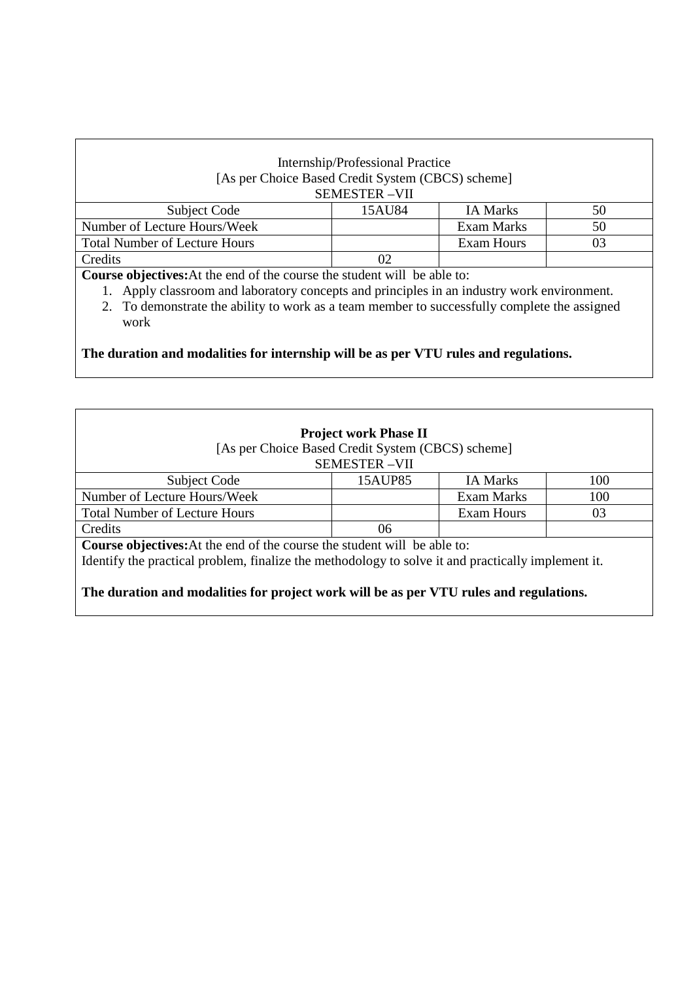| Internship/Professional Practice                                                 |        |                 |    |  |  |
|----------------------------------------------------------------------------------|--------|-----------------|----|--|--|
| [As per Choice Based Credit System (CBCS) scheme]                                |        |                 |    |  |  |
| <b>SEMESTER-VII</b>                                                              |        |                 |    |  |  |
| Subject Code                                                                     | 15AU84 | <b>IA Marks</b> | 50 |  |  |
| Number of Lecture Hours/Week                                                     |        | Exam Marks      | 50 |  |  |
| <b>Total Number of Lecture Hours</b>                                             |        | Exam Hours      | 03 |  |  |
| Credits                                                                          | 02     |                 |    |  |  |
| $\Gamma$ Course objectives At the end of the course the student will be able to: |        |                 |    |  |  |

ctives: At the end of the course the student will be able to:

- 1. Apply classroom and laboratory concepts and principles in an industry work environment.
- 2. To demonstrate the ability to work as a team member to successfully complete the assigned work

**The duration and modalities for internship will be as per VTU rules and regulations.**

| <b>Project work Phase II</b>                                                                       |         |                   |     |  |  |  |
|----------------------------------------------------------------------------------------------------|---------|-------------------|-----|--|--|--|
| [As per Choice Based Credit System (CBCS) scheme]                                                  |         |                   |     |  |  |  |
| <b>SEMESTER-VII</b>                                                                                |         |                   |     |  |  |  |
| Subject Code                                                                                       | 15AUP85 | <b>IA Marks</b>   | 100 |  |  |  |
| Number of Lecture Hours/Week                                                                       |         | <b>Exam Marks</b> | 100 |  |  |  |
| <b>Total Number of Lecture Hours</b>                                                               |         | Exam Hours        | 03  |  |  |  |
| Credits                                                                                            | 06      |                   |     |  |  |  |
| <b>Course objectives:</b> At the end of the course the student will be able to:                    |         |                   |     |  |  |  |
| Identify the practical problem, finalize the methodology to solve it and practically implement it. |         |                   |     |  |  |  |
|                                                                                                    |         |                   |     |  |  |  |
| The duration and modalities for project work will be as per VTU rules and regulations.             |         |                   |     |  |  |  |